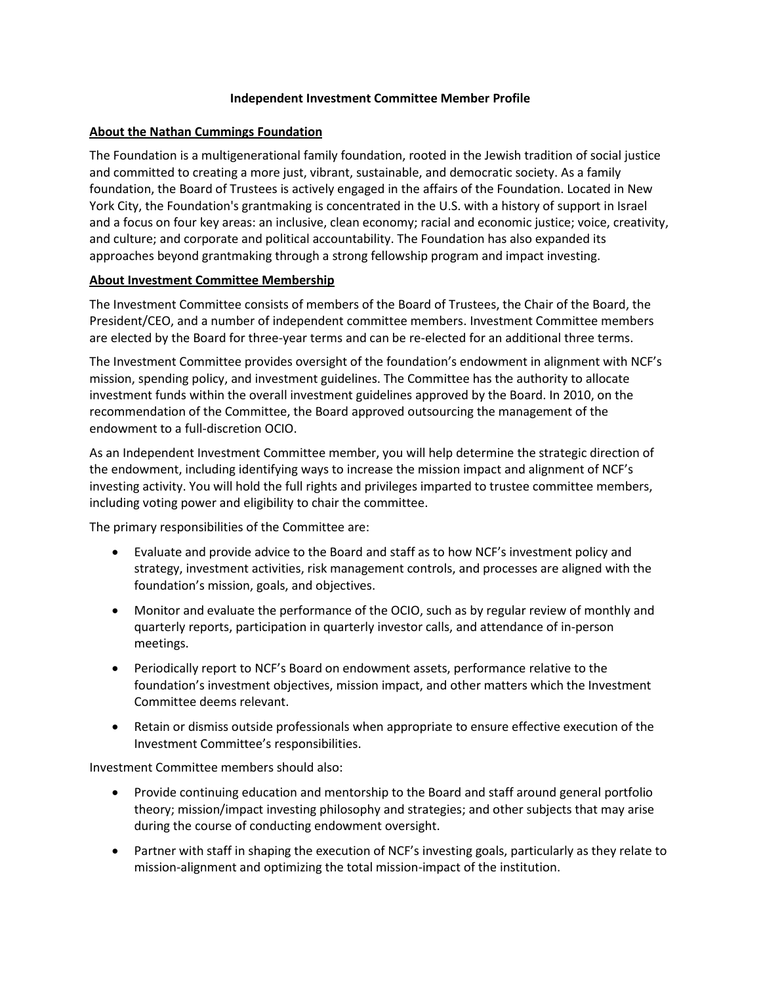# **Independent Investment Committee Member Profile**

# **About the Nathan Cummings Foundation**

The Foundation is a multigenerational family foundation, rooted in the Jewish tradition of social justice and committed to creating a more just, vibrant, sustainable, and democratic society. As a family foundation, the Board of Trustees is actively engaged in the affairs of the Foundation. Located in New York City, the Foundation's grantmaking is concentrated in the U.S. with a history of support in Israel and a focus on four key areas: an inclusive, clean economy; racial and economic justice; voice, creativity, and culture; and corporate and political accountability. The Foundation has also expanded its approaches beyond grantmaking through a strong fellowship program and impact investing.

### **About Investment Committee Membership**

The Investment Committee consists of members of the Board of Trustees, the Chair of the Board, the President/CEO, and a number of independent committee members. Investment Committee members are elected by the Board for three-year terms and can be re-elected for an additional three terms.

The Investment Committee provides oversight of the foundation's endowment in alignment with NCF's mission, spending policy, and investment guidelines. The Committee has the authority to allocate investment funds within the overall investment guidelines approved by the Board. In 2010, on the recommendation of the Committee, the Board approved outsourcing the management of the endowment to a full-discretion OCIO.

As an Independent Investment Committee member, you will help determine the strategic direction of the endowment, including identifying ways to increase the mission impact and alignment of NCF's investing activity. You will hold the full rights and privileges imparted to trustee committee members, including voting power and eligibility to chair the committee.

The primary responsibilities of the Committee are:

- Evaluate and provide advice to the Board and staff as to how NCF's investment policy and strategy, investment activities, risk management controls, and processes are aligned with the foundation's mission, goals, and objectives.
- Monitor and evaluate the performance of the OCIO, such as by regular review of monthly and quarterly reports, participation in quarterly investor calls, and attendance of in-person meetings.
- Periodically report to NCF's Board on endowment assets, performance relative to the foundation's investment objectives, mission impact, and other matters which the Investment Committee deems relevant.
- Retain or dismiss outside professionals when appropriate to ensure effective execution of the Investment Committee's responsibilities.

Investment Committee members should also:

- Provide continuing education and mentorship to the Board and staff around general portfolio theory; mission/impact investing philosophy and strategies; and other subjects that may arise during the course of conducting endowment oversight.
- Partner with staff in shaping the execution of NCF's investing goals, particularly as they relate to mission-alignment and optimizing the total mission-impact of the institution.